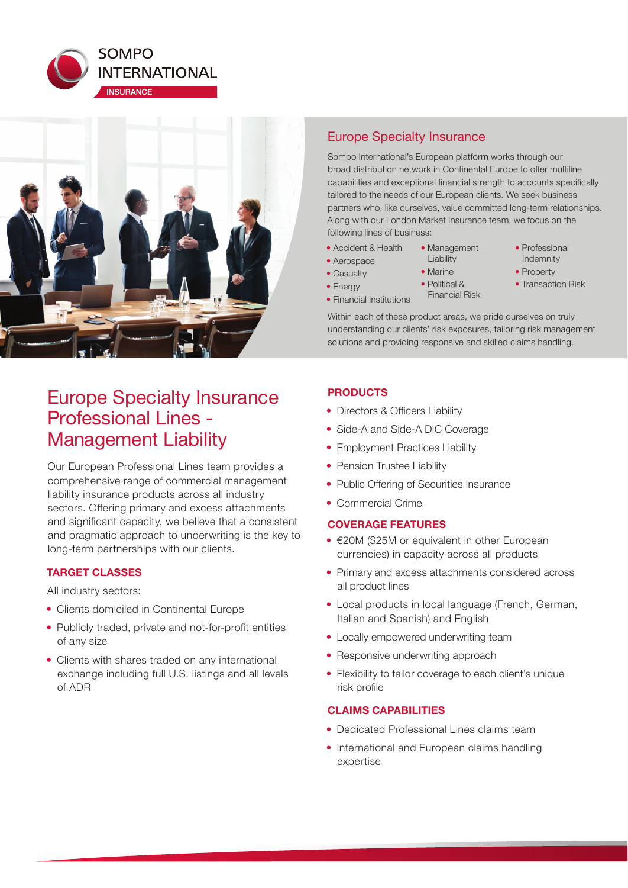



# Europe Specialty Insurance Professional Lines - Management Liability

Our European Professional Lines team provides a comprehensive range of commercial management liability insurance products across all industry sectors. Offering primary and excess attachments and significant capacity, we believe that a consistent and pragmatic approach to underwriting is the key to long-term partnerships with our clients.

## **TARGET CLASSES**

All industry sectors:

- Clients domiciled in Continental Europe
- Publicly traded, private and not-for-profit entities of any size
- Clients with shares traded on any international exchange including full U.S. listings and all levels of ADR

# Europe Specialty Insurance

Sompo International's European platform works through our broad distribution network in Continental Europe to offer multiline capabilities and exceptional financial strength to accounts specifically tailored to the needs of our European clients. We seek business partners who, like ourselves, value committed long-term relationships. Along with our London Market Insurance team, we focus on the following lines of business:

- Accident & Health
- Aerospace
- Casualty • Energy
- Professional Indemnity
- Property
- Transaction Risk
- Financial Institutions
- Political & Financial Risk

• Management **Liability** • Marine

Within each of these product areas, we pride ourselves on truly understanding our clients' risk exposures, tailoring risk management solutions and providing responsive and skilled claims handling.

## **PRODUCTS**

- Directors & Officers Liability
- Side-A and Side-A DIC Coverage
- Employment Practices Liability
- Pension Trustee Liability
- Public Offering of Securities Insurance
- Commercial Crime

## **COVERAGE FEATURES**

- €20M (\$25M or equivalent in other European currencies) in capacity across all products
- Primary and excess attachments considered across all product lines
- Local products in local language (French, German, Italian and Spanish) and English
- Locally empowered underwriting team
- Responsive underwriting approach
- Flexibility to tailor coverage to each client's unique risk profile

## **CLAIMS CAPABILITIES**

- Dedicated Professional Lines claims team
- International and European claims handling expertise